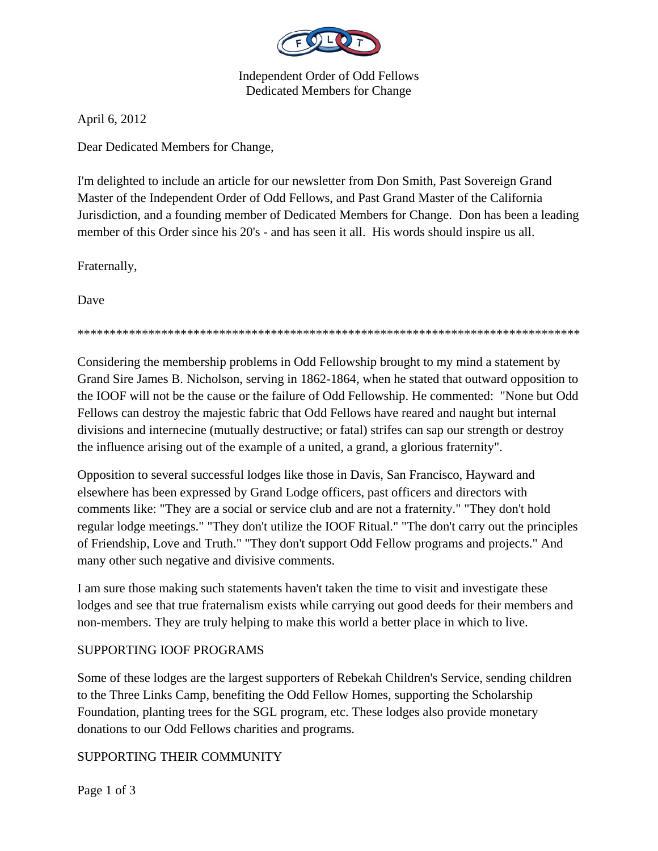

Independent Order of Odd Fellows Dedicated Members for Change

April 6, 2012

Dear Dedicated Members for Change,

I'm delighted to include an article for our newsletter from Don Smith, Past Sovereign Grand Master of the Independent Order of Odd Fellows, and Past Grand Master of the California Jurisdiction, and a founding member of Dedicated Members for Change. Don has been a leading member of this Order since his 20's - and has seen it all. His words should inspire us all.

Fraternally,

Dave

\*\*\*\*\*\*\*\*\*\*\*\*\*\*\*\*\*\*\*\*\*\*\*\*\*\*\*\*\*\*\*\*\*\*\*\*\*\*\*\*\*\*\*\*\*\*\*\*\*\*\*\*\*\*\*\*\*\*\*\*\*\*\*\*\*\*\*\*\*\*\*\*\*\*\*\*\*\*

Considering the membership problems in Odd Fellowship brought to my mind a statement by Grand Sire James B. Nicholson, serving in 1862-1864, when he stated that outward opposition to the IOOF will not be the cause or the failure of Odd Fellowship. He commented: "None but Odd Fellows can destroy the majestic fabric that Odd Fellows have reared and naught but internal divisions and internecine (mutually destructive; or fatal) strifes can sap our strength or destroy the influence arising out of the example of a united, a grand, a glorious fraternity".

Opposition to several successful lodges like those in Davis, San Francisco, Hayward and elsewhere has been expressed by Grand Lodge officers, past officers and directors with comments like: "They are a social or service club and are not a fraternity." "They don't hold regular lodge meetings." "They don't utilize the IOOF Ritual." "The don't carry out the principles of Friendship, Love and Truth." "They don't support Odd Fellow programs and projects." And many other such negative and divisive comments.

I am sure those making such statements haven't taken the time to visit and investigate these lodges and see that true fraternalism exists while carrying out good deeds for their members and non-members. They are truly helping to make this world a better place in which to live.

# SUPPORTING IOOF PROGRAMS

Some of these lodges are the largest supporters of Rebekah Children's Service, sending children to the Three Links Camp, benefiting the Odd Fellow Homes, supporting the Scholarship Foundation, planting trees for the SGL program, etc. These lodges also provide monetary donations to our Odd Fellows charities and programs.

# SUPPORTING THEIR COMMUNITY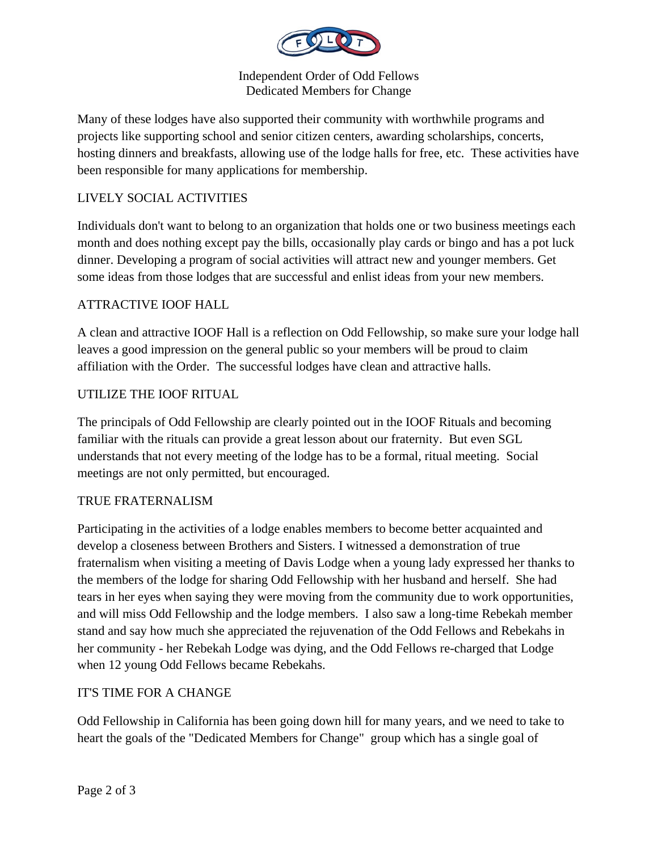

Independent Order of Odd Fellows Dedicated Members for Change

Many of these lodges have also supported their community with worthwhile programs and projects like supporting school and senior citizen centers, awarding scholarships, concerts, hosting dinners and breakfasts, allowing use of the lodge halls for free, etc. These activities have been responsible for many applications for membership.

## LIVELY SOCIAL ACTIVITIES

Individuals don't want to belong to an organization that holds one or two business meetings each month and does nothing except pay the bills, occasionally play cards or bingo and has a pot luck dinner. Developing a program of social activities will attract new and younger members. Get some ideas from those lodges that are successful and enlist ideas from your new members.

### ATTRACTIVE IOOF HALL

A clean and attractive IOOF Hall is a reflection on Odd Fellowship, so make sure your lodge hall leaves a good impression on the general public so your members will be proud to claim affiliation with the Order. The successful lodges have clean and attractive halls.

### UTILIZE THE IOOF RITUAL

The principals of Odd Fellowship are clearly pointed out in the IOOF Rituals and becoming familiar with the rituals can provide a great lesson about our fraternity. But even SGL understands that not every meeting of the lodge has to be a formal, ritual meeting. Social meetings are not only permitted, but encouraged.

### TRUE FRATERNALISM

Participating in the activities of a lodge enables members to become better acquainted and develop a closeness between Brothers and Sisters. I witnessed a demonstration of true fraternalism when visiting a meeting of Davis Lodge when a young lady expressed her thanks to the members of the lodge for sharing Odd Fellowship with her husband and herself. She had tears in her eyes when saying they were moving from the community due to work opportunities, and will miss Odd Fellowship and the lodge members. I also saw a long-time Rebekah member stand and say how much she appreciated the rejuvenation of the Odd Fellows and Rebekahs in her community - her Rebekah Lodge was dying, and the Odd Fellows re-charged that Lodge when 12 young Odd Fellows became Rebekahs.

### IT'S TIME FOR A CHANGE

Odd Fellowship in California has been going down hill for many years, and we need to take to heart the goals of the "Dedicated Members for Change" group which has a single goal of